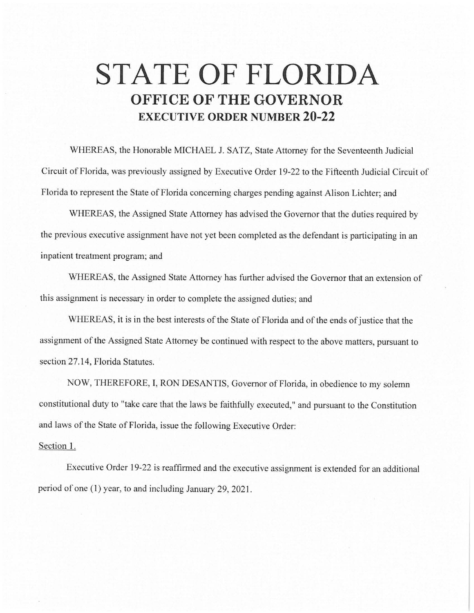## **STATE OF FLORIDA OFFICE OF THE GOVERNOR EXECUTIVE ORDER NUMBER 20-22**

WHEREAS, the Honorable MICHAEL J. SATZ, State Attorney for the Seventeenth Judicial Circuit of Florida, was previously assigned by Executive Order 19-22 to the Fifteenth Judicial Circuit of Florida to represent the State of Florida concerning charges pending against Alison Lichter; and

WHEREAS, the Assigned State Attorney has advised the Governor that the duties required by the previous executive assignment have not yet been completed as the defendant is participating in an inpatient treatment program; and

WHEREAS, the Assigned State Attorney has further advised the Governor that an extension of this assignment is necessary in order to complete the assigned duties; and

WHEREAS, it is in the best interests of the State of Florida and of the ends of justice that the assignment of the Assigned State Attorney be continued with respect to the above matters, pursuant to section 27.14, Florida Statutes.

NOW, THEREFORE, I, RON DESANTIS, Governor of Florida, in obedience to my solemn constitutional duty to "take care that the laws be faithfully executed," and pursuant to the Constitution and laws of the State of Florida, issue the following Executive Order:

## Section 1.

Executive Order 19-22 is reaffirmed and the executive assignment is extended for an additional period of one (1) year, to and including January 29, 2021.